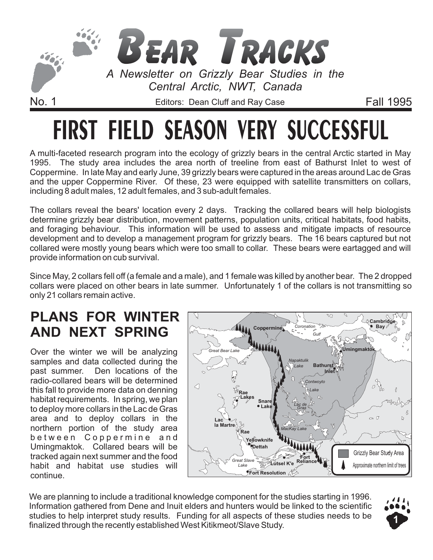

# **FIRST FIELD SEASON VERY SUCCESSFUL**

A multi-faceted research program into the ecology of grizzly bears in the central Arctic started in May 1995. The study area includes the area north of treeline from east of Bathurst Inlet to west of Coppermine. In late May and early June, 39 grizzly bears were captured in the areas around Lac de Gras and the upper Coppermine River. Of these, 23 were equipped with satellite transmitters on collars, including 8 adult males, 12 adult females, and 3 sub-adult females.

The collars reveal the bears' location every 2 days. Tracking the collared bears will help biologists determine grizzly bear distribution, movement patterns, population units, critical habitats, food habits, and foraging behaviour. This information will be used to assess and mitigate impacts of resource development and to develop a management program for grizzly bears. The 16 bears captured but not collared were mostly young bears which were too small to collar. These bears were eartagged and will provide information on cub survival.

Since May, 2 collars fell off (a female and a male), and 1 female was killed by another bear. The 2 dropped collars were placed on other bears in late summer. Unfortunately 1 of the collars is not transmitting so only 21 collars remain active.

## **PLANS FOR WINTER AND NEXT SPRING**

Over the winter we will be analyzing samples and data collected during the past summer. Den locations of the radio-collared bears will be determined this fall to provide more data on denning habitat requirements. In spring, we plan to deploy more collars in the Lac de Gras area and to deploy collars in the northern portion of the study area between Coppermine and Umingmaktok. Collared bears will be tracked again next summer and the food habit and habitat use studies will continue.



We are planning to include a traditional knowledge component for the studies starting in 1996. Information gathered from Dene and Inuit elders and hunters would be linked to the scientific studies to help interpret study results. Funding for all aspects of these studies needs to be finalized through the recently established West Kitikmeot/Slave Study.

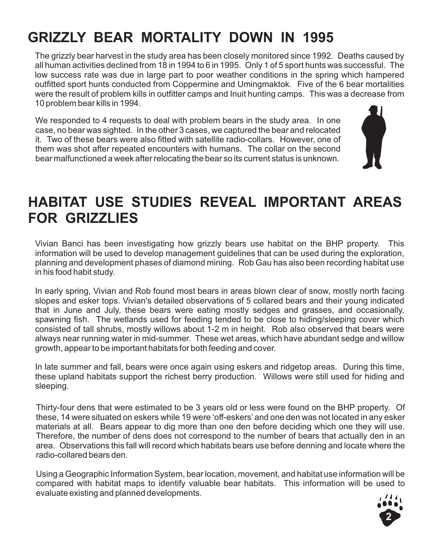# **GRIZZLY BEAR MORTALITY DOWN IN 1995**

The grizzly bear harvest in the study area has been closely monitored since 1992. Deaths caused by all human activities declined from 18 in 1994 to 6 in 1995. Only 1 of 5 sport hunts was successful. The low success rate was due in large part to poor weather conditions in the spring which hampered outfitted sport hunts conducted from Coppermine and Umingmaktok. Five of the 6 bear mortalities were the result of problem kills in outfitter camps and Inuit hunting camps. This was a decrease from 10 problem bear kills in 1994.

We responded to 4 requests to deal with problem bears in the study area. In one case, no bear was sighted. In the other 3 cases, we captured the bear and relocated it. Two of these bears were also fitted with satellite radio-collars. However, one of them was shot after repeated encounters with humans. The collar on the second bear malfunctioned a week after relocating the bear so its current status is unknown.



## **HABITAT USE STUDIES REVEAL IMPORTANT AREAS FOR GRIZZLIES**

Vivian Banci has been investigating how grizzly bears use habitat on the BHP property. This information will be used to develop management guidelines that can be used during the exploration, planning and development phases of diamond mining. Rob Gau has also been recording habitat use in his food habit study.

In early spring, Vivian and Rob found most bears in areas blown clear of snow, mostly north facing slopes and esker tops. Vivian's detailed observations of 5 collared bears and their young indicated that in June and July, these bears were eating mostly sedges and grasses, and occasionally, spawning fish. The wetlands used for feeding tended to be close to hiding/sleeping cover which consisted of tall shrubs, mostly willows about 1-2 m in height. Rob also observed that bears were always near running water in mid-summer. These wet areas, which have abundant sedge and willow growth, appear to be important habitats for both feeding and cover.

In late summer and fall, bears were once again using eskers and ridgetop areas. During this time, these upland habitats support the richest berry production. Willows were still used for hiding and sleeping.

Thirty-four dens that were estimated to be 3 years old or less were found on the BHP property. Of these, 14 were situated on eskers while 19 were 'off-eskers' and one den was not located in any esker materials at all. Bears appear to dig more than one den before deciding which one they will use. Therefore, the number of dens does not correspond to the number of bears that actually den in an area. Observations this fall will record which habitats bears use before denning and locate where the radio-collared bears den.

Using a Geographic Information System, bear location, movement, and habitat use information will be compared with habitat maps to identify valuable bear habitats. This information will be used to evaluate existing and planned developments.

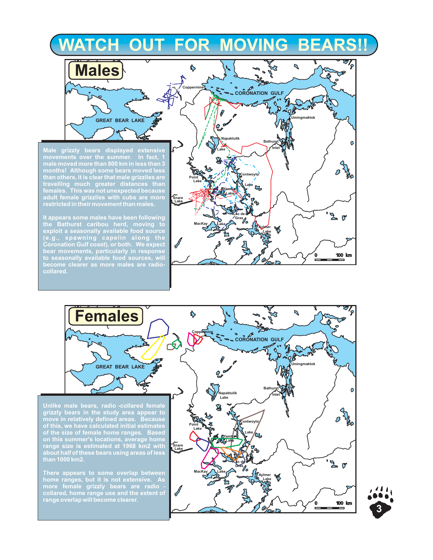# **WATCH OUT FOR MOVING BEARS!!**

**Male grizzly bears displayed extensive movements over the summer. In fact, 1 male moved more than 800 km in less than 3 months! Although some bears moved less than others, it is clear that male grizzlies are travelling much greater distances than females. This was not unexpected because adult female grizzlies with cubs are more**

**Males**

**GREAT BEAR LAKE**

**It appears some males have been following the Bathurst caribou herd, moving to exploit a seasonally available food source (e.g., spawning capelin along the Coronation Gulf coast), or both. We expect bear movements, particularly in response to seasonally available food sources, will become clearer as more males are radiocollared.**

**restricted in their movement than males.**



**Females**  $\overline{\phantom{a}}$ \$ **Coppermine CORONATION GULF**  $\mathcal{L}$ **Umingmaktok GREAT BEAR LAKE Bathurst** O **Napaktulik** *Inlet* **Lake Unlike male bears, radio -collared female grizzly bears in the study area appear to**  $\overline{\mathcal{O}}$ **move in relatively defined areas. Because Contwoyto of this, we have calculated initial estimates Point Lake of the size of female home ranges. Based Lake Yamba on this summer's locations, average home Lake range size is estimated at 1968 km2 with Snare Lake about half of these bears using areas of less**  $\frac{1}{2}$ **Lac de Gras There appears to some overlap between MacKay** Lake **System home ranges, but it is not extensive. As Lake more female grizzly bears are radio collared, home range use and the extent of range overlap will become clearer.** 100 km  $\mathbf 0$ æ

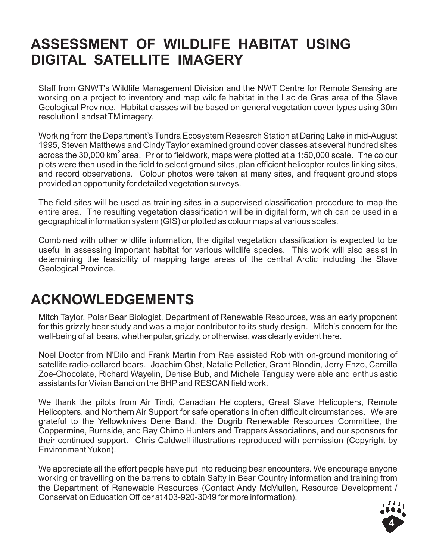## **ASSESSMENT OF WILDLIFE HABITAT USING DIGITAL SATELLITE IMAGERY**

Staff from GNWT's Wildlife Management Division and the NWT Centre for Remote Sensing are working on a project to inventory and map wildife habitat in the Lac de Gras area of the Slave Geological Province. Habitat classes will be based on general vegetation cover types using 30m resolution Landsat TM imagery.

Working from the Department's Tundra Ecosystem Research Station at Daring Lake in mid-August 1995, Steven Matthews and Cindy Taylor examined ground cover classes at several hundred sites across the 30,000 km $^{\circ}$  area. Prior to fieldwork, maps were plotted at a 1:50,000 scale. The colour plots were then used in the field to select ground sites, plan efficient helicopter routes linking sites, and record observations. Colour photos were taken at many sites, and frequent ground stops provided an opportunity for detailed vegetation surveys.

The field sites will be used as training sites in a supervised classification procedure to map the entire area. The resulting vegetation classification will be in digital form, which can be used in a geographical information system (GIS) or plotted as colour maps at various scales.

Combined with other wildlife information, the digital vegetation classification is expected to be useful in assessing important habitat for various wildlife species. This work will also assist in determining the feasibility of mapping large areas of the central Arctic including the Slave Geological Province.

## **ACKNOWLEDGEMENTS**

Mitch Taylor, Polar Bear Biologist, Department of Renewable Resources, was an early proponent for this grizzly bear study and was a major contributor to its study design. Mitch's concern for the well-being of all bears, whether polar, grizzly, or otherwise, was clearly evident here.

Noel Doctor from N'Dilo and Frank Martin from Rae assisted Rob with on-ground monitoring of satellite radio-collared bears. Joachim Obst, Natalie Pelletier, Grant Blondin, Jerry Enzo, Camilla Zoe-Chocolate, Richard Wayelin, Denise Bub, and Michele Tanguay were able and enthusiastic assistants for Vivian Banci on the BHP and RESCAN field work.

We thank the pilots from Air Tindi, Canadian Helicopters, Great Slave Helicopters, Remote Helicopters, and Northern Air Support for safe operations in often difficult circumstances. We are grateful to the Yellowknives Dene Band, the Dogrib Renewable Resources Committee, the Coppermine, Burnside, and Bay Chimo Hunters and Trappers Associations, and our sponsors for their continued support. Chris Caldwell illustrations reproduced with permission (Copyright by Environment Yukon).

We appreciate all the effort people have put into reducing bear encounters. We encourage anyone working or travelling on the barrens to obtain Safty in Bear Country information and training from the Department of Renewable Resources (Contact Andy McMullen, Resource Development / Conservation Education Officer at 403-920-3049 for more information).

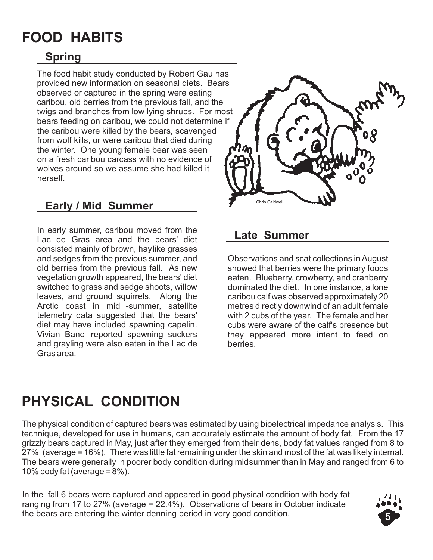## **FOOD HABITS**

## **Spring**

The food habit study conducted by Robert Gau has provided new information on seasonal diets. Bears observed or captured in the spring were eating caribou, old berries from the previous fall, and the twigs and branches from low lying shrubs. For most bears feeding on caribou, we could not determine if the caribou were killed by the bears, scavenged from wolf kills, or were caribou that died during the winter. One young female bear was seen on a fresh caribou carcass with no evidence of wolves around so we assume she had killed it herself.

## **Early / Mid Summer**

In early summer, caribou moved from the Lac de Gras area and the bears' diet consisted mainly of brown, haylike grasses and sedges from the previous summer, and old berries from the previous fall. As new vegetation growth appeared, the bears' diet switched to grass and sedge shoots, willow leaves, and ground squirrels. Along the Arctic coast in mid -summer, satellite telemetry data suggested that the bears' diet may have included spawning capelin. Vivian Banci reported spawning suckers and grayling were also eaten in the Lac de Gras area.



### **Late Summer**

Observations and scat collections in August showed that berries were the primary foods eaten. Blueberry, crowberry, and cranberry dominated the diet. In one instance, a lone caribou calf was observed approximately 20 metres directly downwind of an adult female with 2 cubs of the year. The female and her cubs were aware of the calf's presence but they appeared more intent to feed on berries.

# **PHYSICAL CONDITION**

The physical condition of captured bears was estimated by using bioelectrical impedance analysis. This technique, developed for use in humans, can accurately estimate the amount of body fat. From the 17 grizzly bears captured in May, just after they emerged from their dens, body fat values ranged from 8 to 27% (average = 16%). There was little fat remaining under the skin and most of the fat was likely internal. The bears were generally in poorer body condition during midsummer than in May and ranged from 6 to 10% body fat (average  $= 8\%$ ).

In the fall 6 bears were captured and appeared in good physical condition with body fat ranging from 17 to 27% (average = 22.4%). Observations of bears in October indicate the bears are entering the winter denning period in very good condition.